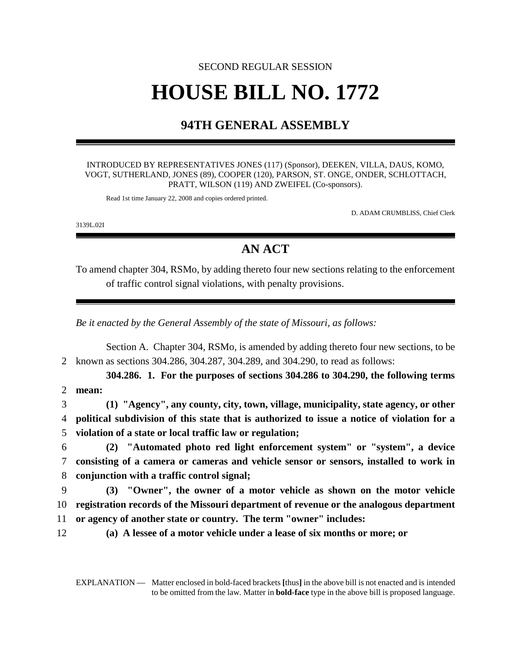# SECOND REGULAR SESSION **HOUSE BILL NO. 1772**

## **94TH GENERAL ASSEMBLY**

INTRODUCED BY REPRESENTATIVES JONES (117) (Sponsor), DEEKEN, VILLA, DAUS, KOMO, VOGT, SUTHERLAND, JONES (89), COOPER (120), PARSON, ST. ONGE, ONDER, SCHLOTTACH, PRATT, WILSON (119) AND ZWEIFEL (Co-sponsors).

Read 1st time January 22, 2008 and copies ordered printed.

D. ADAM CRUMBLISS, Chief Clerk

3139L.02I

## **AN ACT**

To amend chapter 304, RSMo, by adding thereto four new sections relating to the enforcement of traffic control signal violations, with penalty provisions.

*Be it enacted by the General Assembly of the state of Missouri, as follows:*

Section A. Chapter 304, RSMo, is amended by adding thereto four new sections, to be 2 known as sections 304.286, 304.287, 304.289, and 304.290, to read as follows:

**304.286. 1. For the purposes of sections 304.286 to 304.290, the following terms** 2 **mean:**

3 **(1) "Agency", any county, city, town, village, municipality, state agency, or other** 4 **political subdivision of this state that is authorized to issue a notice of violation for a** 5 **violation of a state or local traffic law or regulation;**

6 **(2) "Automated photo red light enforcement system" or "system", a device** 7 **consisting of a camera or cameras and vehicle sensor or sensors, installed to work in** 8 **conjunction with a traffic control signal;**

9 **(3) "Owner", the owner of a motor vehicle as shown on the motor vehicle** 10 **registration records of the Missouri department of revenue or the analogous department** 11 **or agency of another state or country. The term "owner" includes:**

12 **(a) A lessee of a motor vehicle under a lease of six months or more; or**

EXPLANATION — Matter enclosed in bold-faced brackets **[**thus**]** in the above bill is not enacted and is intended to be omitted from the law. Matter in **bold-face** type in the above bill is proposed language.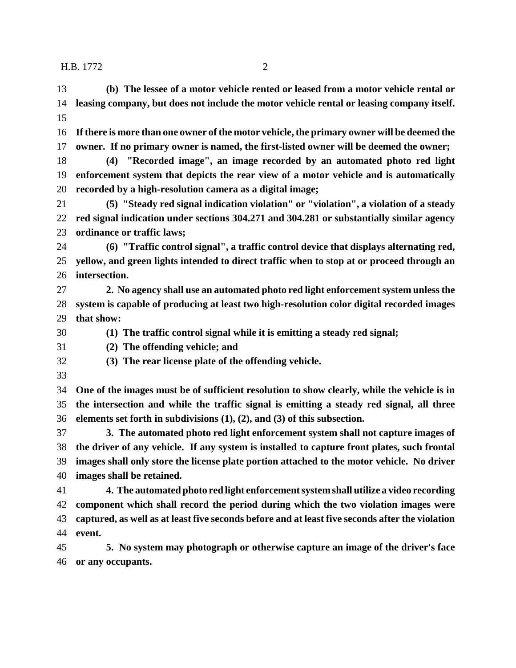**(b) The lessee of a motor vehicle rented or leased from a motor vehicle rental or leasing company, but does not include the motor vehicle rental or leasing company itself. If there is more than one owner of the motor vehicle, the primary owner will be deemed the owner. If no primary owner is named, the first-listed owner will be deemed the owner; (4) "Recorded image", an image recorded by an automated photo red light enforcement system that depicts the rear view of a motor vehicle and is automatically recorded by a high-resolution camera as a digital image;**

 **(5) "Steady red signal indication violation" or "violation", a violation of a steady red signal indication under sections 304.271 and 304.281 or substantially similar agency ordinance or traffic laws;**

 **(6) "Traffic control signal", a traffic control device that displays alternating red, yellow, and green lights intended to direct traffic when to stop at or proceed through an intersection.**

 **2. No agency shall use an automated photo red light enforcement system unless the system is capable of producing at least two high-resolution color digital recorded images that show:**

**(1) The traffic control signal while it is emitting a steady red signal;**

**(2) The offending vehicle; and**

- **(3) The rear license plate of the offending vehicle.**
- 

 **One of the images must be of sufficient resolution to show clearly, while the vehicle is in the intersection and while the traffic signal is emitting a steady red signal, all three elements set forth in subdivisions (1), (2), and (3) of this subsection.**

 **3. The automated photo red light enforcement system shall not capture images of the driver of any vehicle. If any system is installed to capture front plates, such frontal images shall only store the license plate portion attached to the motor vehicle. No driver images shall be retained.**

 **4. The automated photo red light enforcement system shall utilize a video recording component which shall record the period during which the two violation images were captured, as well as at least five seconds before and at least five seconds after the violation event.**

 **5. No system may photograph or otherwise capture an image of the driver's face or any occupants.**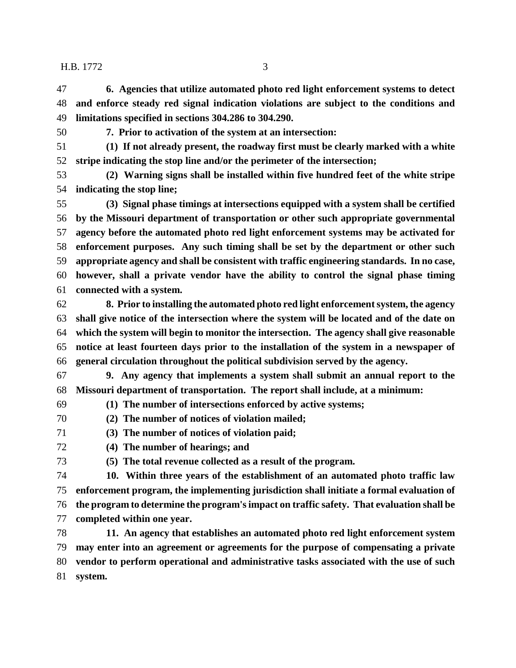**6. Agencies that utilize automated photo red light enforcement systems to detect and enforce steady red signal indication violations are subject to the conditions and limitations specified in sections 304.286 to 304.290.**

**7. Prior to activation of the system at an intersection:**

 **(1) If not already present, the roadway first must be clearly marked with a white stripe indicating the stop line and/or the perimeter of the intersection;**

 **(2) Warning signs shall be installed within five hundred feet of the white stripe indicating the stop line;**

 **(3) Signal phase timings at intersections equipped with a system shall be certified by the Missouri department of transportation or other such appropriate governmental agency before the automated photo red light enforcement systems may be activated for enforcement purposes. Any such timing shall be set by the department or other such appropriate agency and shall be consistent with traffic engineering standards. In no case, however, shall a private vendor have the ability to control the signal phase timing connected with a system.**

 **8. Prior to installing the automated photo red light enforcement system, the agency shall give notice of the intersection where the system will be located and of the date on which the system will begin to monitor the intersection. The agency shall give reasonable notice at least fourteen days prior to the installation of the system in a newspaper of general circulation throughout the political subdivision served by the agency.**

 **9. Any agency that implements a system shall submit an annual report to the Missouri department of transportation. The report shall include, at a minimum:**

**(1) The number of intersections enforced by active systems;**

**(2) The number of notices of violation mailed;**

**(3) The number of notices of violation paid;**

### **(4) The number of hearings; and**

**(5) The total revenue collected as a result of the program.**

 **10. Within three years of the establishment of an automated photo traffic law enforcement program, the implementing jurisdiction shall initiate a formal evaluation of the program to determine the program's impact on traffic safety. That evaluation shall be**

**completed within one year.**

 **11. An agency that establishes an automated photo red light enforcement system may enter into an agreement or agreements for the purpose of compensating a private vendor to perform operational and administrative tasks associated with the use of such system.**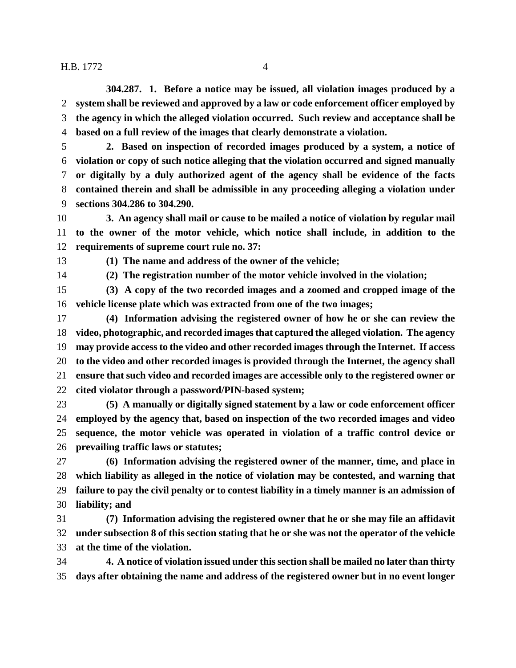**304.287. 1. Before a notice may be issued, all violation images produced by a system shall be reviewed and approved by a law or code enforcement officer employed by the agency in which the alleged violation occurred. Such review and acceptance shall be based on a full review of the images that clearly demonstrate a violation.**

 **2. Based on inspection of recorded images produced by a system, a notice of violation or copy of such notice alleging that the violation occurred and signed manually or digitally by a duly authorized agent of the agency shall be evidence of the facts contained therein and shall be admissible in any proceeding alleging a violation under sections 304.286 to 304.290.**

 **3. An agency shall mail or cause to be mailed a notice of violation by regular mail to the owner of the motor vehicle, which notice shall include, in addition to the requirements of supreme court rule no. 37:**

**(1) The name and address of the owner of the vehicle;**

**(2) The registration number of the motor vehicle involved in the violation;**

 **(3) A copy of the two recorded images and a zoomed and cropped image of the vehicle license plate which was extracted from one of the two images;**

 **(4) Information advising the registered owner of how he or she can review the video, photographic, and recorded images that captured the alleged violation. The agency may provide access to the video and other recorded images through the Internet. If access to the video and other recorded images is provided through the Internet, the agency shall ensure that such video and recorded images are accessible only to the registered owner or cited violator through a password/PIN-based system;**

 **(5) A manually or digitally signed statement by a law or code enforcement officer employed by the agency that, based on inspection of the two recorded images and video sequence, the motor vehicle was operated in violation of a traffic control device or prevailing traffic laws or statutes;**

 **(6) Information advising the registered owner of the manner, time, and place in which liability as alleged in the notice of violation may be contested, and warning that failure to pay the civil penalty or to contest liability in a timely manner is an admission of liability; and**

 **(7) Information advising the registered owner that he or she may file an affidavit under subsection 8 of this section stating that he or she was not the operator of the vehicle at the time of the violation.**

 **4. A notice of violation issued under this section shall be mailed no later than thirty days after obtaining the name and address of the registered owner but in no event longer**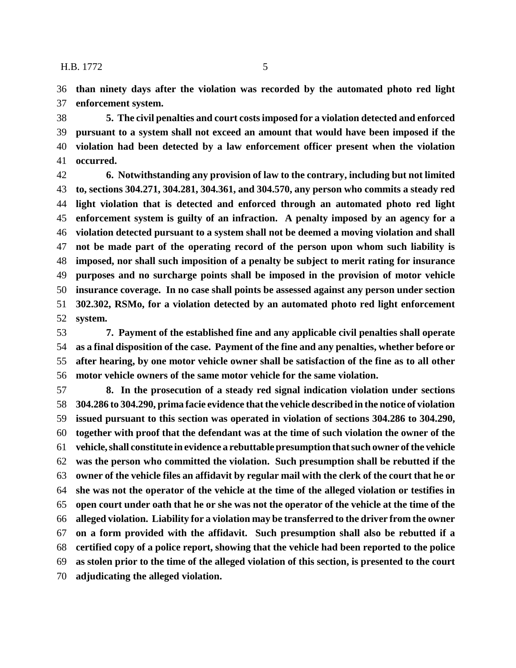**than ninety days after the violation was recorded by the automated photo red light enforcement system.**

 **5. The civil penalties and court costs imposed for a violation detected and enforced pursuant to a system shall not exceed an amount that would have been imposed if the violation had been detected by a law enforcement officer present when the violation occurred.**

 **6. Notwithstanding any provision of law to the contrary, including but not limited to, sections 304.271, 304.281, 304.361, and 304.570, any person who commits a steady red light violation that is detected and enforced through an automated photo red light enforcement system is guilty of an infraction. A penalty imposed by an agency for a violation detected pursuant to a system shall not be deemed a moving violation and shall not be made part of the operating record of the person upon whom such liability is imposed, nor shall such imposition of a penalty be subject to merit rating for insurance purposes and no surcharge points shall be imposed in the provision of motor vehicle insurance coverage. In no case shall points be assessed against any person under section 302.302, RSMo, for a violation detected by an automated photo red light enforcement system.**

 **7. Payment of the established fine and any applicable civil penalties shall operate as a final disposition of the case. Payment of the fine and any penalties, whether before or after hearing, by one motor vehicle owner shall be satisfaction of the fine as to all other motor vehicle owners of the same motor vehicle for the same violation.**

 **8. In the prosecution of a steady red signal indication violation under sections 304.286 to 304.290, prima facie evidence that the vehicle described in the notice of violation issued pursuant to this section was operated in violation of sections 304.286 to 304.290, together with proof that the defendant was at the time of such violation the owner of the vehicle, shall constitute in evidence a rebuttable presumption that such owner of the vehicle was the person who committed the violation. Such presumption shall be rebutted if the owner of the vehicle files an affidavit by regular mail with the clerk of the court that he or she was not the operator of the vehicle at the time of the alleged violation or testifies in open court under oath that he or she was not the operator of the vehicle at the time of the alleged violation. Liability for a violation may be transferred to the driver from the owner on a form provided with the affidavit. Such presumption shall also be rebutted if a certified copy of a police report, showing that the vehicle had been reported to the police as stolen prior to the time of the alleged violation of this section, is presented to the court adjudicating the alleged violation.**